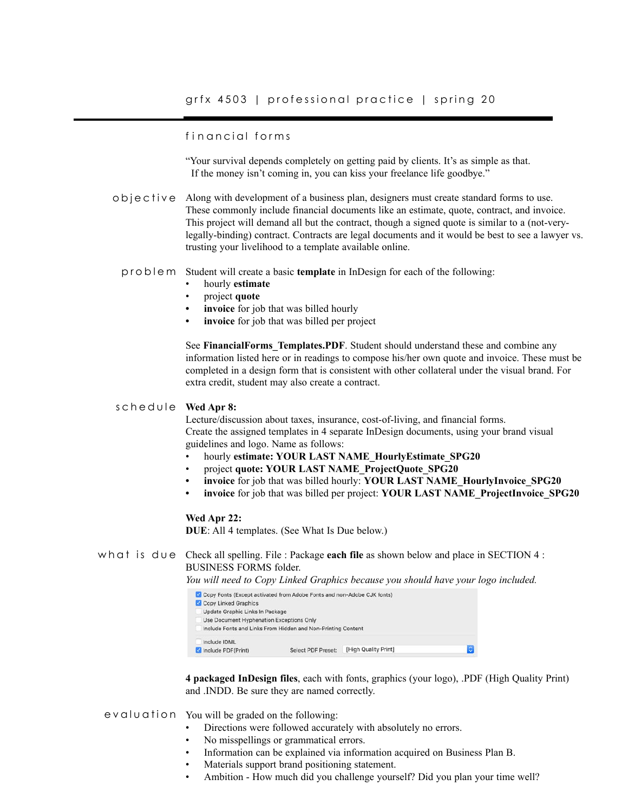## fin ancial forms

"Your survival depends completely on getting paid by clients. It's as simple as that. If the money isn't coming in, you can kiss your freelance life goodbye."

 $\circ$  b j  $\circ$  c t i  $\vee$  e Along with development of a business plan, designers must create standard forms to use. These commonly include financial documents like an estimate, quote, contract, and invoice. This project will demand all but the contract, though a signed quote is similar to a (not-verylegally-binding) contract. Contracts are legal documents and it would be best to see a lawyer vs. trusting your livelihood to a template available online.

problem Student will create a basic **template** in InDesign for each of the following:

- hourly **estimate**
- project **quote**
- **invoice** for job that was billed hourly
- **• invoice** for job that was billed per project

See **FinancialForms\_Templates.PDF**. Student should understand these and combine any information listed here or in readings to compose his/her own quote and invoice. These must be completed in a design form that is consistent with other collateral under the visual brand. For extra credit, student may also create a contract.

#### **Wed Apr 8:** schedule

Lecture/discussion about taxes, insurance, cost-of-living, and financial forms. Create the assigned templates in 4 separate InDesign documents, using your brand visual guidelines and logo. Name as follows:

- hourly **estimate: YOUR LAST NAME\_HourlyEstimate\_SPG20**
- project **quote: YOUR LAST NAME\_ProjectQuote\_SPG20**
- **• invoice** for job that was billed hourly: **YOUR LAST NAME\_HourlyInvoice\_SPG20**
- **• invoice** for job that was billed per project: **YOUR LAST NAME\_ProjectInvoice\_SPG20**

### **Wed Apr 22:**

**DUE**: All 4 templates. (See What Is Due below.)

## what is due Check all spelling. File : Package **each file** as shown below and place in SECTION 4 : BUSINESS FORMS folder.

*You will need to Copy Linked Graphics because you should have your logo included.*

| Copy Fonts (Except activated from Adobe Fonts and non-Adobe CJK fonts) |                                                              |                      |   |
|------------------------------------------------------------------------|--------------------------------------------------------------|----------------------|---|
| Copy Linked Graphics                                                   |                                                              |                      |   |
| Update Graphic Links In Package                                        |                                                              |                      |   |
| Use Document Hyphenation Exceptions Only                               |                                                              |                      |   |
|                                                                        | Include Fonts and Links From Hidden and Non-Printing Content |                      |   |
| Include IDML                                                           |                                                              |                      |   |
| Include PDF(Print)                                                     | Select PDF Preset:                                           | [High Quality Print] | ю |
|                                                                        |                                                              |                      |   |

**4 packaged InDesign files**, each with fonts, graphics (your logo), .PDF (High Quality Print) and .INDD. Be sure they are named correctly.

- evaluation You will be graded on the following:
	- Directions were followed accurately with absolutely no errors.
	- No misspellings or grammatical errors.
	- Information can be explained via information acquired on Business Plan B.
	- Materials support brand positioning statement.
	- Ambition How much did you challenge yourself? Did you plan your time well?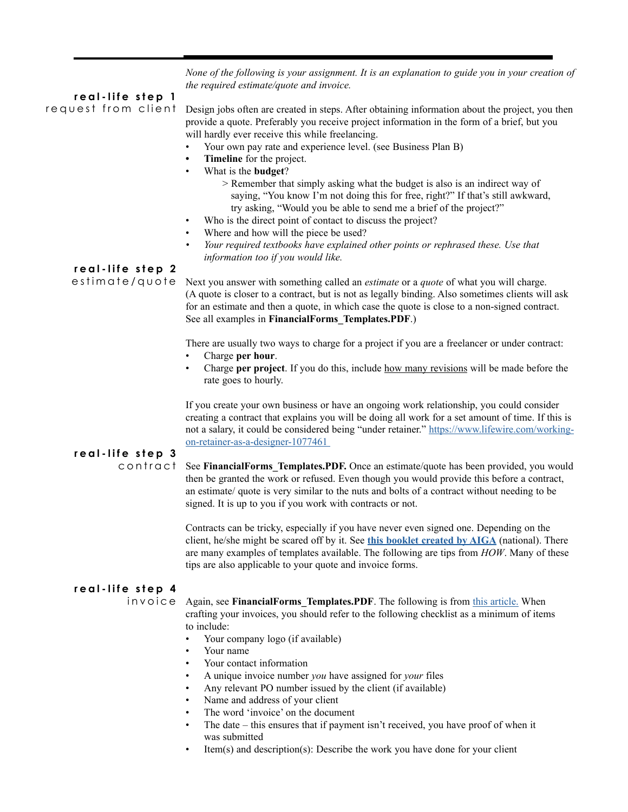*None of the following is your assignment. It is an explanation to guide you in your creation of the required estimate/quote and invoice.* 

## **real-life step 1**

request from client

Design jobs often are created in steps. After obtaining information about the project, you then provide a quote. Preferably you receive project information in the form of a brief, but you will hardly ever receive this while freelancing.

- Your own pay rate and experience level. (see Business Plan B)
- **• Timeline** for the project.
- What is the **budget**?
	- > Remember that simply asking what the budget is also is an indirect way of saying, "You know I'm not doing this for free, right?" If that's still awkward, try asking, "Would you be able to send me a brief of the project?"
- Who is the direct point of contact to discuss the project?
- Where and how will the piece be used?
- *• Your required textbooks have explained other points or rephrased these. Use that information too if you would like.*

## **real-life step 2**

estimate/quote

Next you answer with something called an *estimate* or a *quote* of what you will charge. (A quote is closer to a contract, but is not as legally binding. Also sometimes clients will ask for an estimate and then a quote, in which case the quote is close to a non-signed contract. See all examples in **FinancialForms\_Templates.PDF**.)

There are usually two ways to charge for a project if you are a freelancer or under contract:

- Charge **per hour**.
- Charge **per project**. If you do this, include how many revisions will be made before the rate goes to hourly.

If you create your own business or have an ongoing work relationship, you could consider creating a contract that explains you will be doing all work for a set amount of time. If this is not a salary, it could be considered being "under retainer." [https://www.lifewire.com/working](https://www.lifewire.com/working-on-retainer-as-a-designer-1077461 )[on-retainer-as-a-designer-1077461](https://www.lifewire.com/working-on-retainer-as-a-designer-1077461 ) 

# **real-life step 3**

contract

See **FinancialForms** Templates.PDF. Once an estimate/quote has been provided, you would then be granted the work or refused. Even though you would provide this before a contract, an estimate/ quote is very similar to the nuts and bolts of a contract without needing to be signed. It is up to you if you work with contracts or not.

Contracts can be tricky, especially if you have never even signed one. Depending on the client, he/she might be scared off by it. See **[this booklet created by AIGA](https://www.aiga.org/globalassets/aiga/content/tools-and-resources/46874510-standard-form-of-agreement-for-design-services.pdf)** (national). There are many examples of templates available. The following are tips from *HOW*. Many of these tips are also applicable to your quote and invoice forms.

## **real-life step 4**

invoice

Again, see **FinancialForms\_Templates.PDF**. The following is from [this article.](https://www.creativeboom.com/tips/how-to-invoice-your-freelance-clients-professionally-and-ensure-you-get-paid/) When crafting your invoices, you should refer to the following checklist as a minimum of items to include:

- Your company logo (if available)
- Your name
- Your contact information
- A unique invoice number *you* have assigned for *your* files
- Any relevant PO number issued by the client (if available)
- Name and address of your client
- The word 'invoice' on the document
- The date this ensures that if payment isn't received, you have proof of when it was submitted
- Item(s) and description(s): Describe the work you have done for your client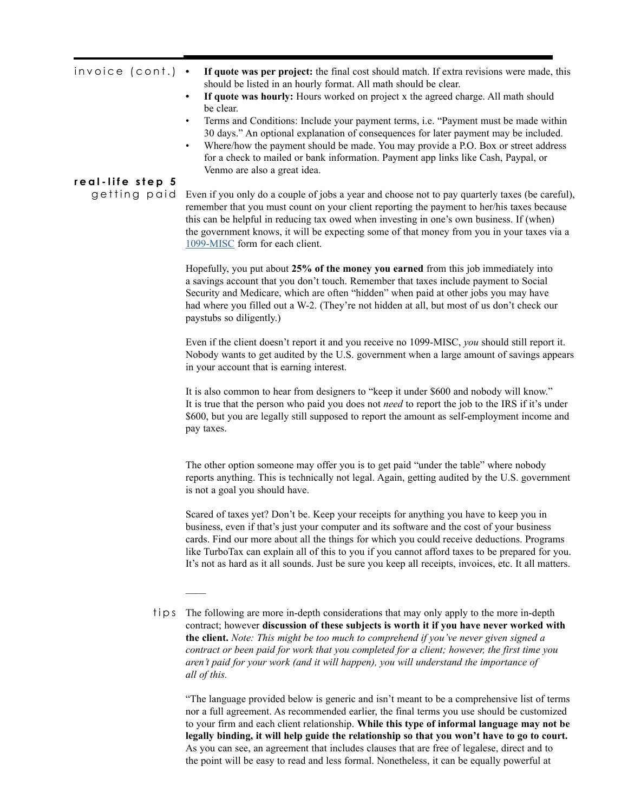| invoice (cont.)  | If quote was per project: the final cost should match. If extra revisions were made, this<br>$\bullet$<br>should be listed in an hourly format. All math should be clear.<br>If quote was hourly: Hours worked on project x the agreed charge. All math should<br>$\bullet$<br>be clear.<br>Terms and Conditions: Include your payment terms, i.e. "Payment must be made within<br>30 days." An optional explanation of consequences for later payment may be included.<br>Where/how the payment should be made. You may provide a P.O. Box or street address<br>for a check to mailed or bank information. Payment app links like Cash, Paypal, or<br>Venmo are also a great idea. |
|------------------|-------------------------------------------------------------------------------------------------------------------------------------------------------------------------------------------------------------------------------------------------------------------------------------------------------------------------------------------------------------------------------------------------------------------------------------------------------------------------------------------------------------------------------------------------------------------------------------------------------------------------------------------------------------------------------------|
| real-life step 5 |                                                                                                                                                                                                                                                                                                                                                                                                                                                                                                                                                                                                                                                                                     |
| getting paid     | Even if you only do a couple of jobs a year and choose not to pay quarterly taxes (be careful),<br>remember that you must count on your client reporting the payment to her/his taxes because<br>this can be helpful in reducing tax owed when investing in one's own business. If (when)<br>the government knows, it will be expecting some of that money from you in your taxes via a<br>1099-MISC form for each client.                                                                                                                                                                                                                                                          |
|                  | Hopefully, you put about 25% of the money you earned from this job immediately into<br>a savings account that you don't touch. Remember that taxes include payment to Social<br>Security and Medicare, which are often "hidden" when paid at other jobs you may have<br>had where you filled out a W-2. (They're not hidden at all, but most of us don't check our<br>paystubs so diligently.)                                                                                                                                                                                                                                                                                      |
|                  | Even if the client doesn't report it and you receive no 1099-MISC, you should still report it.<br>Nobody wants to get audited by the U.S. government when a large amount of savings appears<br>in your account that is earning interest.                                                                                                                                                                                                                                                                                                                                                                                                                                            |
|                  | It is also common to hear from designers to "keep it under \$600 and nobody will know."<br>It is true that the person who paid you does not <i>need</i> to report the job to the IRS if it's under<br>\$600, but you are legally still supposed to report the amount as self-employment income and<br>pay taxes.                                                                                                                                                                                                                                                                                                                                                                    |
|                  | The other option someone may offer you is to get paid "under the table" where nobody<br>reports anything. This is technically not legal. Again, getting audited by the U.S. government<br>is not a goal you should have.                                                                                                                                                                                                                                                                                                                                                                                                                                                            |
|                  | Scared of taxes yet? Don't be. Keep your receipts for anything you have to keep you in<br>business, even if that's just your computer and its software and the cost of your business<br>cards. Find our more about all the things for which you could receive deductions. Programs<br>like TurboTax can explain all of this to you if you cannot afford taxes to be prepared for you.                                                                                                                                                                                                                                                                                               |

 $\overline{\phantom{a}}$ 

"The language provided below is generic and isn't meant to be a comprehensive list of terms nor a full agreement. As recommended earlier, the final terms you use should be customized to your firm and each client relationship. **While this type of informal language may not be legally binding, it will help guide the relationship so that you won't have to go to court.** As you can see, an agreement that includes clauses that are free of legalese, direct and to the point will be easy to read and less formal. Nonetheless, it can be equally powerful at

It's not as hard as it all sounds. Just be sure you keep all receipts, invoices, etc. It all matters.

tips The following are more in-depth considerations that may only apply to the more in-depth contract; however **discussion of these subjects is worth it if you have never worked with the client.** *Note: This might be too much to comprehend if you've never given signed a contract or been paid for work that you completed for a client; however, the first time you aren't paid for your work (and it will happen), you will understand the importance of all of this.*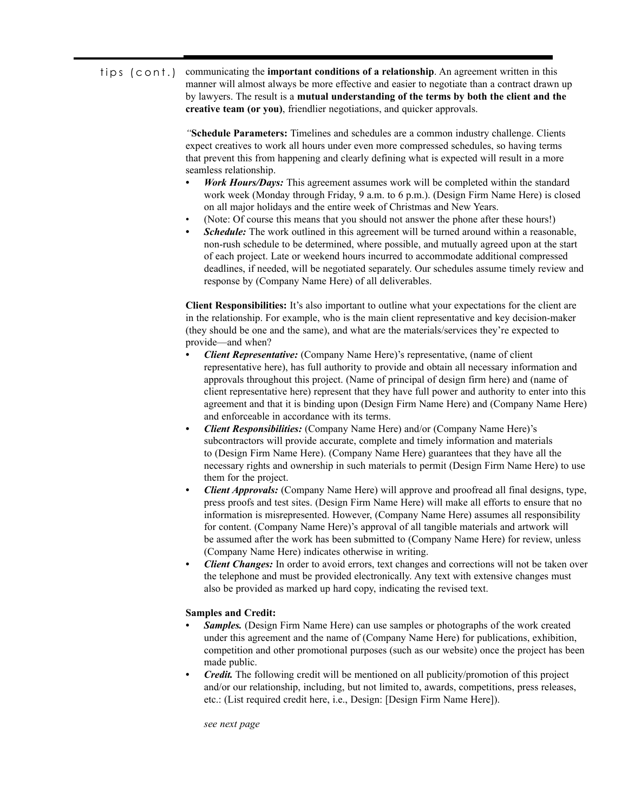#### communicating the **important conditions of a relationship**. An agreement written in this manner will almost always be more effective and easier to negotiate than a contract drawn up by lawyers. The result is a **mutual understanding of the terms by both the client and the creative team (or you)**, friendlier negotiations, and quicker approvals. tips (cont.)

*"***Schedule Parameters:** Timelines and schedules are a common industry challenge. Clients expect creatives to work all hours under even more compressed schedules, so having terms that prevent this from happening and clearly defining what is expected will result in a more seamless relationship.

- *Work Hours/Days:* This agreement assumes work will be completed within the standard work week (Monday through Friday, 9 a.m. to 6 p.m.). (Design Firm Name Here) is closed on all major holidays and the entire week of Christmas and New Years.
- (Note: Of course this means that you should not answer the phone after these hours!)
- *Schedule:* The work outlined in this agreement will be turned around within a reasonable, non-rush schedule to be determined, where possible, and mutually agreed upon at the start of each project. Late or weekend hours incurred to accommodate additional compressed deadlines, if needed, will be negotiated separately. Our schedules assume timely review and response by (Company Name Here) of all deliverables.

**Client Responsibilities:** It's also important to outline what your expectations for the client are in the relationship. For example, who is the main client representative and key decision-maker (they should be one and the same), and what are the materials/services they're expected to provide—and when?

- *• Client Representative:* (Company Name Here)'s representative, (name of client representative here), has full authority to provide and obtain all necessary information and approvals throughout this project. (Name of principal of design firm here) and (name of client representative here) represent that they have full power and authority to enter into this agreement and that it is binding upon (Design Firm Name Here) and (Company Name Here) and enforceable in accordance with its terms.
- *• Client Responsibilities:* (Company Name Here) and/or (Company Name Here)'s subcontractors will provide accurate, complete and timely information and materials to (Design Firm Name Here). (Company Name Here) guarantees that they have all the necessary rights and ownership in such materials to permit (Design Firm Name Here) to use them for the project.
- *• Client Approvals:* (Company Name Here) will approve and proofread all final designs, type, press proofs and test sites. (Design Firm Name Here) will make all efforts to ensure that no information is misrepresented. However, (Company Name Here) assumes all responsibility for content. (Company Name Here)'s approval of all tangible materials and artwork will be assumed after the work has been submitted to (Company Name Here) for review, unless (Company Name Here) indicates otherwise in writing.
- *• Client Changes:* In order to avoid errors, text changes and corrections will not be taken over the telephone and must be provided electronically. Any text with extensive changes must also be provided as marked up hard copy, indicating the revised text.

## **Samples and Credit:**

- *Samples.* (Design Firm Name Here) can use samples or photographs of the work created under this agreement and the name of (Company Name Here) for publications, exhibition, competition and other promotional purposes (such as our website) once the project has been made public.
- *• Credit.* The following credit will be mentioned on all publicity/promotion of this project and/or our relationship, including, but not limited to, awards, competitions, press releases, etc.: (List required credit here, i.e., Design: [Design Firm Name Here]).

*see next page*